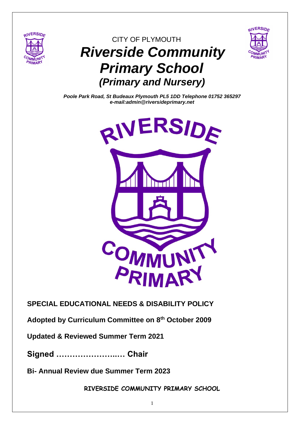

# CITY OF PLYMOUTH  *Riverside Community Primary School (Primary and Nursery)*



*Poole Park Road, St Budeaux Plymouth PL5 1DD Telephone 01752 365297 e-mail:admin@riversideprimary.net*



## **SPECIAL EDUCATIONAL NEEDS & DISABILITY POLICY**

**Adopted by Curriculum Committee on 8th October 2009**

**Updated & Reviewed Summer Term 2021**

**Signed …………………..… Chair** 

**Bi- Annual Review due Summer Term 2023**

**RIVERSIDE COMMUNITY PRIMARY SCHOOL**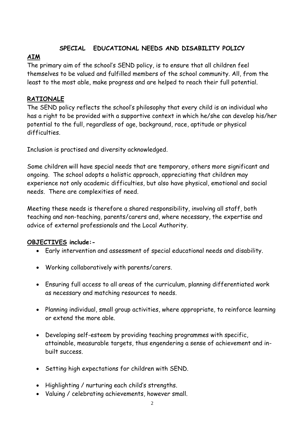## **SPECIAL EDUCATIONAL NEEDS AND DISABILITY POLICY**

## **AIM**

The primary aim of the school's SEND policy, is to ensure that all children feel themselves to be valued and fulfilled members of the school community. All, from the least to the most able, make progress and are helped to reach their full potential.

## **RATIONALE**

The SEND policy reflects the school's philosophy that every child is an individual who has a right to be provided with a supportive context in which he/she can develop his/her potential to the full, regardless of age, background, race, aptitude or physical difficulties.

Inclusion is practised and diversity acknowledged.

Some children will have special needs that are temporary, others more significant and ongoing. The school adopts a holistic approach, appreciating that children may experience not only academic difficulties, but also have physical, emotional and social needs. There are complexities of need.

Meeting these needs is therefore a shared responsibility, involving all staff, both teaching and non-teaching, parents/carers and, where necessary, the expertise and advice of external professionals and the Local Authority.

## **OBJECTIVES include:-**

- Early intervention and assessment of special educational needs and disability.
- Working collaboratively with parents/carers.
- Ensuring full access to all areas of the curriculum, planning differentiated work as necessary and matching resources to needs.
- Planning individual, small group activities, where appropriate, to reinforce learning or extend the more able.
- Developing self-esteem by providing teaching programmes with specific, attainable, measurable targets, thus engendering a sense of achievement and inbuilt success.
- Setting high expectations for children with SEND.
- Highlighting / nurturing each child's strengths.
- Valuing / celebrating achievements, however small.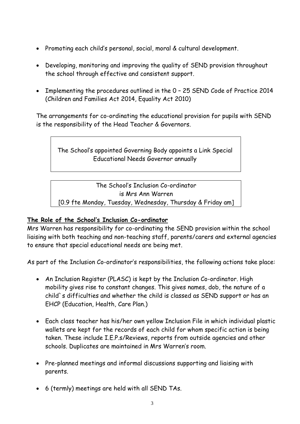- Promoting each child's personal, social, moral & cultural development.
- Developing, monitoring and improving the quality of SEND provision throughout the school through effective and consistent support.
- Implementing the procedures outlined in the 0 25 SEND Code of Practice 2014 (Children and Families Act 2014, Equality Act 2010)

The arrangements for co-ordinating the educational provision for pupils with SEND is the responsibility of the Head Teacher & Governors.

The School's appointed Governing Body appoints a Link Special Educational Needs Governor annually

The School's Inclusion Co-ordinator is Mrs Ann Warren

[0.9 fte Monday, Tuesday, Wednesday, Thursday & Friday am]

#### **The Role of the School's Inclusion Co-ordinator**

Mrs Warren has responsibility for co-ordinating the SEND provision within the school liaising with both teaching and non-teaching staff, parents/carers and external agencies to ensure that special educational needs are being met.

As part of the Inclusion Co-ordinator's responsibilities, the following actions take place:

- An Inclusion Register (PLASC) is kept by the Inclusion Co-ordinator. High mobility gives rise to constant changes. This gives names, dob, the nature of a child`s difficulties and whether the child is classed as SEND support or has an EHCP (Education, Health, Care Plan.)
- Each class teacher has his/her own yellow Inclusion File in which individual plastic wallets are kept for the records of each child for whom specific action is being taken. These include I.E.P.s/Reviews, reports from outside agencies and other schools. Duplicates are maintained in Mrs Warren's room.
- Pre-planned meetings and informal discussions supporting and liaising with parents.
- 6 (termly) meetings are held with all SEND TAs.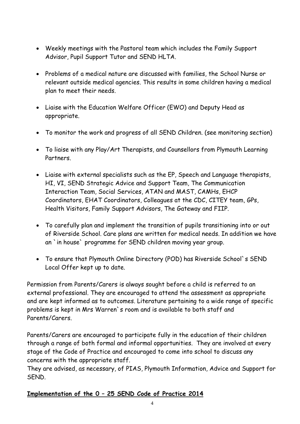- Weekly meetings with the Pastoral team which includes the Family Support Advisor, Pupil Support Tutor and SEND HLTA.
- Problems of a medical nature are discussed with families, the School Nurse or relevant outside medical agencies. This results in some children having a medical plan to meet their needs.
- Liaise with the Education Welfare Officer (EWO) and Deputy Head as appropriate.
- To monitor the work and progress of all SEND Children. (see monitoring section)
- To liaise with any Play/Art Therapists, and Counsellors from Plymouth Learning Partners.
- Liaise with external specialists such as the EP, Speech and Language therapists, HI, VI, SEND Strategic Advice and Support Team, The Communication Interaction Team, Social Services, ATAN and MAST, CAMHs, EHCP Coordinators, EHAT Coordinators, Colleagues at the CDC, CITEY team, GPs, Health Visitors, Family Support Advisors, The Gateway and FIIP.
- To carefully plan and implement the transition of pupils transitioning into or out of Riverside School. Care plans are written for medical needs. In addition we have an `in house` programme for SEND children moving year group.
- To ensure that Plymouth Online Directory (POD) has Riverside School`s SEND Local Offer kept up to date.

Permission from Parents/Carers is always sought before a child is referred to an external professional. They are encouraged to attend the assessment as appropriate and are kept informed as to outcomes. Literature pertaining to a wide range of specific problems is kept in Mrs Warren`s room and is available to both staff and Parents/Carers.

Parents/Carers are encouraged to participate fully in the education of their children through a range of both formal and informal opportunities. They are involved at every stage of the Code of Practice and encouraged to come into school to discuss any concerns with the appropriate staff.

They are advised, as necessary, of PIAS, Plymouth Information, Advice and Support for SEND.

#### **Implementation of the 0 – 25 SEND Code of Practice 2014**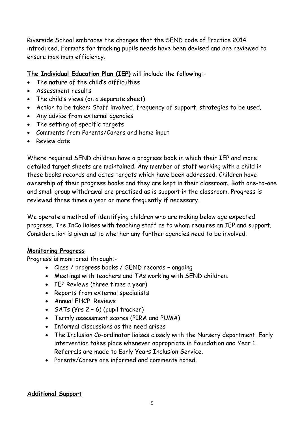Riverside School embraces the changes that the SEND code of Practice 2014 introduced. Formats for tracking pupils needs have been devised and are reviewed to ensure maximum efficiency.

**The Individual Education Plan (IEP)** will include the following:-

- The nature of the child's difficulties
- Assessment results
- The child's views (on a separate sheet)
- Action to be taken: Staff involved, frequency of support, strategies to be used.
- Any advice from external agencies
- The setting of specific targets
- Comments from Parents/Carers and home input
- Review date

Where required SEND children have a progress book in which their IEP and more detailed target sheets are maintained. Any member of staff working with a child in these books records and dates targets which have been addressed. Children have ownership of their progress books and they are kept in their classroom. Both one-to-one and small group withdrawal are practised as is support in the classroom. Progress is reviewed three times a year or more frequently if necessary.

We operate a method of identifying children who are making below age expected progress. The InCo liaises with teaching staff as to whom requires an IEP and support. Consideration is given as to whether any further agencies need to be involved.

#### **Monitoring Progress**

Progress is monitored through:-

- Class / progress books / SEND records ongoing
- Meetings with teachers and TAs working with SEND children.
- IEP Reviews (three times a year)
- Reports from external specialists
- Annual EHCP Reviews
- SATs (Yrs 2 6) (pupil tracker)
- Termly assessment scores (PIRA and PUMA)
- Informal discussions as the need arises
- The Inclusion Co-ordinator liaises closely with the Nursery department. Early intervention takes place whenever appropriate in Foundation and Year 1. Referrals are made to Early Years Inclusion Service.
- Parents/Carers are informed and comments noted.

#### **Additional Support**